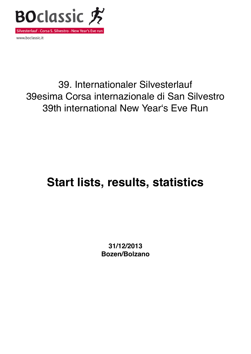

www.boclassic.it

## 39. Internationaler Silvesterlauf 39esima Corsa internazionale di San Silvestro 39th international New Yearʻs Eve Run

# **Start lists, results, statistics**

**31/12/2013 Bozen/Bolzano**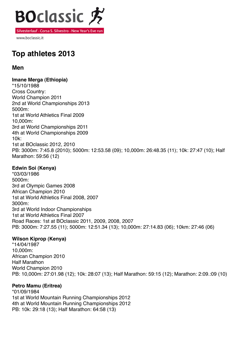

www.boclassic.it

### **Top athletes 2013**

#### **Men**

**Imane Merga (Ethiopia)** \*15/10/1988 Cross Country: World Champion 2011 2nd at World Championships 2013 5000m: 1st at World Athletics Final 2009 10,000m: 3rd at World Championships 2011 4th at World Championships 2009 10k: 1st at BOclassic 2012, 2010 PB: 3000m: 7:45.8 (2010); 5000m: 12:53.58 (09); 10,000m: 26:48.35 (11); 10k: 27:47 (10); Half Marathon: 59:56 (12)

#### **Edwin Soi (Kenya)**

\*03/03/1986 5000m: 3rd at Olympic Games 2008 African Champion 2010 1st at World Athletics Final 2008, 2007 3000m: 3rd at World Indoor Championships 1st at World Athletics Final 2007 Road Races: 1st at BOclassic 2011, 2009, 2008, 2007 PB: 3000m: 7:27.55 (11); 5000m: 12:51.34 (13); 10,000m: 27:14.83 (06); 10km: 27:46 (06)

#### **Wilson Kiprop (Kenya)**

\*14/04/1987 10,000m: African Champion 2010 Half Marathon World Champion 2010 PB: 10,000m: 27:01.98 (12); 10k: 28:07 (13); Half Marathon: 59:15 (12); Marathon: 2:09.:09 (10)

#### **Petro Mamu (Eritrea)**

\*01/09/1984 1st at World Mountain Running Championships 2012 4th at World Mountain Running Championships 2012 PB: 10k: 29:18 (13); Half Marathon: 64:58 (13)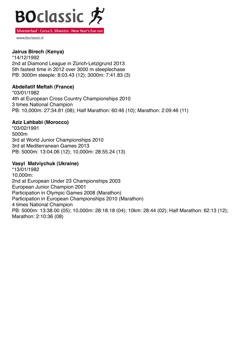

www.boclassic.it

#### **Jairus Birech (Kenya)**

\*14/12/1992 2nd at Diamond League in Zürich-Letzigrund 2013 5th fastest time in 2012 over 3000 m steeplechase PB: 3000m steeple: 8:03.43 (12); 3000m: 7:41.83 (3)

#### **Abdellatif Meftah (France)**

\*03/01/1982 4th at European Cross Country Championships 2010 3 times National Champion PB: 10,000m: 27:34.81 (08); Half Marathon: 60:46 (10); Marathon: 2:09:46 (11)

#### **Aziz Lahbabi (Morocco)**

\*03/02/1991 5000m 3rd at World Junior Championships 2010 3rd at Mediterranean Games 2013 PB: 5000m: 13:04.06 (12); 10,000m: 28:55.24 (13)

#### **Vasyl Matviychuk (Ukraine)**

\*13/01/1982 10,000m: 2nd at European Under 23 Championships 2003 European Junior Champion 2001 Participation in Olympic Games 2008 (Marathon) Participation in European Championships 2010 (Marathon) 4 times National Champion PB: 5000m: 13:38.00 (05); 10,000m: 28:18.18 (04); 10km: 28:44 (02); Half Marathon: 62:13 (12); Marathon: 2:10:36 (08)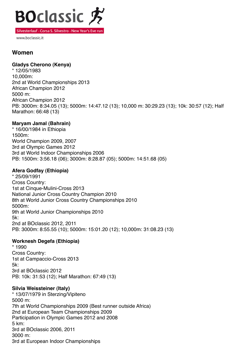

www.boclassic.it

#### **Women**

#### **Gladys Cherono (Kenya)**

\* 12/05/1983 10,000m: 2nd at World Championships 2013 African Champion 2012 5000 m: African Champion 2012 PB: 3000m: 8:34.05 (13); 5000m: 14:47.12 (13); 10,000 m: 30:29.23 (13); 10k: 30:57 (12); Half Marathon: 66:48 (13)

#### **Maryam Jamal (Bahrain)**

\* 16/00/1984 in Ethiopia 1500m: World Champion 2009, 2007 3rd at Olympic Games 2012 3rd at World Indoor Championships 2006 PB: 1500m: 3:56.18 (06); 3000m: 8:28.87 (05); 5000m: 14:51.68 (05)

#### **Afera Godfay (Ethiopia)**

\* 25/09/1991 Cross Country: 1st at Cinque-Mulini-Cross 2013 National Junior Cross Country Champion 2010 8th at World Junior Cross Country Championships 2010 5000m: 9th at World Junior Championships 2010 5k: 2nd at BOclassic 2012, 2011 PB: 3000m: 8:55.55 (10); 5000m: 15:01.20 (12); 10,000m: 31:08.23 (13)

#### **Worknesh Degefa (Ethiopia)**

\* 1990 Cross Country: 1st at Campaccio-Cross 2013 5k: 3rd at BOclassic 2012 PB: 10k: 31:53 (12); Half Marathon: 67:49 (13)

#### **Silvia Weissteiner (Italy)**

\* 13/07/1979 in Sterzing/Vipiteno 5000 m: 7th at World Championships 2009 (Best runner outside Africa) 2nd at European Team Championships 2009 Participation in Olympic Games 2012 and 2008 5 km: 3rd at BOclassic 2006, 2011 3000 m: 3rd at European Indoor Championships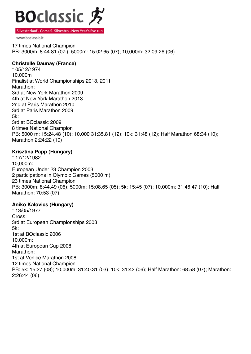

www.boclassic.it

17 times National Champion PB: 3000m: 8:44.81 (07i); 5000m: 15:02.65 (07); 10,000m: 32:09.26 (06)

#### **Christelle Daunay (France)**

\* 05/12/1974 10,000m Finalist at World Championships 2013, 2011 Marathon: 3rd at New York Marathon 2009 4th at New York Marathon 2013 2nd at Paris Marathon 2010 3rd at Paris Marathon 2009 5k: 3rd at BOclassic 2009 8 times National Champion PB: 5000 m: 15:24.48 (10); 10,000 31:35.81 (12); 10k: 31:48 (12); Half Marathon 68:34 (10); Marathon 2:24:22 (10)

#### **Krisztina Papp (Hungary)**

\* 17/12/1982 10,000m: European Under 23 Champion 2003 2 participations in Olympic Games (5000 m) 23 times National Champion PB: 3000m: 8:44.49 (06); 5000m: 15:08.65 (05); 5k: 15:45 (07); 10,000m: 31:46.47 (10); Half Marathon: 70:53 (07)

#### **Aniko Kalovics (Hungary)**

\* 13/05/1977 Cross: 3rd at European Championships 2003 5k: 1st at BOclassic 2006 10,000m: 4th at European Cup 2008 Marathon<sup>-</sup> 1st at Venice Marathon 2008 12 times National Champion PB: 5k: 15:27 (08); 10,000m: 31:40.31 (03); 10k: 31:42 (06); Half Marathon: 68:58 (07); Marathon: 2:26:44 (06)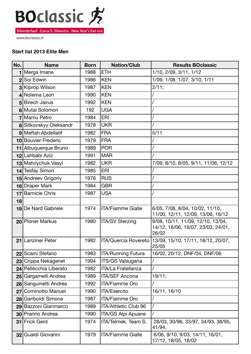

www.boclassic.it

#### **Start list 2013 Elite Men**

| No.            | <b>Name</b>             | <b>Born</b> | <b>Nation/Club</b>        | <b>Results BOclassic</b>                                                         |
|----------------|-------------------------|-------------|---------------------------|----------------------------------------------------------------------------------|
|                | Merga Imane             | 1988        | <b>ETH</b>                | 1/10, 2/09, 3/11, 1/12                                                           |
| $\overline{2}$ | Soi Edwin               | 1986        | <b>KEN</b>                | 1/09, 1/08, 1/07, 3/10, 1/11                                                     |
|                | 3 Kiprop Wilson         | 1987        | <b>KEN</b>                | 2/11;                                                                            |
|                | 4 Ndiema Leon           | 1990        | <b>KEN</b>                |                                                                                  |
|                | 5 Birech Jairus         | 1992        | <b>KEN</b>                |                                                                                  |
|                | 6 Mutai Solomon         | 192         | <b>UGA</b>                |                                                                                  |
|                | Mamu Petro              | 1984        | <b>ERI</b>                |                                                                                  |
|                | 8 Sitkovskyy Oleksandr  | 1978        | <b>UKR</b>                |                                                                                  |
|                | 9 Meftah Abdellatif     | 1982        | <b>FRA</b>                | 5/11                                                                             |
|                | 10 Bouvier Frederic     | 1979        | <b>FRA</b>                |                                                                                  |
|                | 11 Albuquerque Bruno    | 1989        | <b>POR</b>                |                                                                                  |
|                | 12 Lahbabi Aziz         | 1991        | <b>MAR</b>                |                                                                                  |
|                | 13 Matviychuk Vasyl     | 1982        | <b>UKR</b>                | 7/09, 8/10, 8/05, 9/11, 11/06, 12/12                                             |
|                | 14 Tesfay Simon         | 1985        | <b>ERI</b>                |                                                                                  |
|                | 15 Andreev Grigoriy     | 1976        | <b>RUS</b>                |                                                                                  |
|                | 16 Draper Mark          | 1984        | <b>GBR</b>                |                                                                                  |
| 17             | <b>Barnicle Chris</b>   | 1987        | <b>USA</b>                |                                                                                  |
| 18             |                         |             |                           |                                                                                  |
|                | 19 De Nard Gabriele     | 1974        | <b>ITA/Fiamme Gialle</b>  | 6/05, 7/08, 8/04, 10/02, 11/10,<br>11/00, 12/11, 12/09, 13/06, 16/12             |
|                | 20 Ploner Markus        | 1980        | <b>ITA/SV Sterzing</b>    | 9/08, 10/11, 11/09, 12/10, 13/04,<br>14/12, 16/06, 19/07, 23/03, 24/01,<br>26/02 |
| 21             | <b>Lanziner Peter</b>   | 1982        | ITA/Quercia Rovereto      | 13/09, 15/10, 17/11, 18/12, 20/07,<br>25/05                                      |
| 22             | Scaini Stefano          | 1983        | <b>ITA/Running Futura</b> | 16/02, 20/12, DNF/04, DNF/06                                                     |
|                | 23 Crippa Nekagenet     | 1994        | ITS/GS Valsugana          |                                                                                  |
|                | 24 Pellecchia Liberato  | 1982        | <b>ITA/La Fratellanza</b> |                                                                                  |
|                | 25 Gargamelli Andrea    | 1989        | <b>ITA/SEF Ancona</b>     | 19/11;                                                                           |
|                | 26 Sanguinetti Andrea   | 1992        | ITA/Fiamme Oro            |                                                                                  |
| 27             | <b>Cominotto Manuel</b> | 1990        | ITA/Esercito              | 16/11, 16/10                                                                     |
|                | 28 Gariboldi Simone     | 1987        | <b>ITA/Fiamme Oro</b>     |                                                                                  |
|                | 29 Bazzoni Gianmarco    | 1989        | ITA/Athletic Club 96      |                                                                                  |
|                | 30 Pranno Andrea        | 1990        | ITA/GS Alpi Apuane        |                                                                                  |
| 31             | <b>Frick Gerd</b>       | 1974        | ITA/Telmek. Team S.       | 28/03, 30/96, 33/97, 34/93, 36/95,<br>41/94,                                     |
|                | 32 Gualdi Giovanni      | 1979        | <b>ITA/Fiamme Gialle</b>  | 6/06, 9/10, 9/03, 14/11, 16/01,<br>17/12, 18/05, 18/02                           |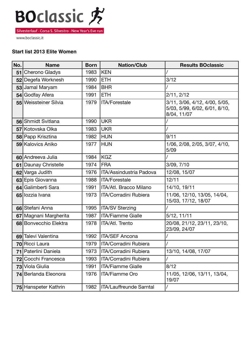

www.boclassic.it

#### **Start list 2013 Elite Women**

| No. | <b>Name</b>           | <b>Born</b> | <b>Nation/Club</b>             | <b>Results BOclassic</b>                                                      |
|-----|-----------------------|-------------|--------------------------------|-------------------------------------------------------------------------------|
| 51  | Cherono Gladys        | 1983        | <b>KEN</b>                     |                                                                               |
|     | 52 Degefa Worknesh    | 1990        | <b>ETH</b>                     | 3/12                                                                          |
| 53  | Jamal Maryam          | 1984        | <b>BHR</b>                     |                                                                               |
| 54  | Godfay Afera          | 1991        | <b>ETH</b>                     | 2/11, 2/12                                                                    |
|     | 55 Weissteiner Silvia | 1979        | <b>ITA/Forestale</b>           | 3/11, 3/06, 4/12, 4/00, 5/05,<br>5/03, 5/99, 6/02, 6/01, 8/10,<br>8/04, 11/07 |
|     | 56 Shmidt Svitlana    | 1990        | <b>UKR</b>                     |                                                                               |
|     | 57 Kotovska Olka      | 1983        | <b>UKR</b>                     |                                                                               |
|     | 58 Papp Krisztina     | 1982        | <b>HUN</b>                     | 9/11                                                                          |
|     | 59 Kalovics Aniko     | 1977        | <b>HUN</b>                     | 1/06, 2/08, 2/05, 3/07, 4/10,<br>5/09                                         |
|     | 60 Andreeva Julia     | 1984        | <b>KGZ</b>                     |                                                                               |
| 61  | Daunay Christelle     | 1974        | <b>FRA</b>                     | 3/09, 7/10                                                                    |
| 62  | Varga Judith          | 1976        | <b>ITA/Assindustria Padova</b> | 12/08, 15/07                                                                  |
|     | 63 Epis Giovanna      | 1988        | <b>ITA/Forestale</b>           | 12/11                                                                         |
|     | 64 Galimberti Sara    | 1991        | ITA/Atl. Bracco Milano         | 14/10, 19/11                                                                  |
|     | 65 lozzia Ivana       | 1973        | ITA/Corradini Rubiera          | 11/06, 12/10, 13/05, 14/04,<br>15/03, 17/12, 18/07                            |
|     | 66 Stefani Anna       | 1995        | <b>ITA/SV Sterzing</b>         |                                                                               |
|     | 67 Magnani Margherita | 1987        | <b>ITA/Fiamme Gialle</b>       | 5/12, 11/11                                                                   |
|     | 68 Bonvecchio Elektra | 1978        | ITA/Atl. Trento                | 20/08, 21/12, 23/11, 23/10,<br>23/09, 24/07                                   |
| 69  | Talevi Valentina      | 1992        | <b>ITA/SEF Ancona</b>          |                                                                               |
|     | 70 Ricci Laura        | 1979        | <b>ITA/Corradini Rubiera</b>   |                                                                               |
|     | 71 Paterlini Daniela  | 1973        | ITA/Corradini Rubiera          | 13/10, 14/08, 17/07                                                           |
|     | 72 Cocchi Francesca   | 1993        | ITA/Corradini Rubiera          |                                                                               |
|     | 73 Viola Giulia       | 1991        | <b>ITA/Fiamme Gialle</b>       | 8/12                                                                          |
|     | 74 Berlanda Eleonora  | 1976        | <b>ITA/Fiamme Oro</b>          | 11/05, 12/06, 13/11, 13/04,<br>19/07                                          |
|     | 75 Hanspeter Kathrin  | 1982        | ITA/Lauffreunde Sarntal        |                                                                               |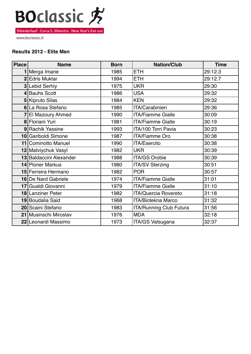

www.boclassic.it

#### **Results 2012 - Elite Men**

| <b>Place</b> | <b>Name</b>             | <b>Born</b> | <b>Nation/Club</b>             | <b>Time</b> |
|--------------|-------------------------|-------------|--------------------------------|-------------|
|              | Merga Imane             | 1985        | <b>ETH</b>                     | 29:12.3     |
|              | 2 Edris Muktar          | 1994        | <b>ETH</b>                     | 29:12.7     |
|              | 3 Lebid Serhiy          | 1975        | <b>UKR</b>                     | 29:30       |
|              | 4 Bauhs Scott           | 1986        | <b>USA</b>                     | 29:32       |
|              | 5 Kipruto Silas         | 1984        | <b>KEN</b>                     | 29:32       |
|              | 6 La Rosa Stefano       | 1985        | ITA/Carabinieri                | 29:36       |
|              | 7 El Mazoury Ahmed      | 1990        | <b>ITA/Fiamme Gialle</b>       | 30:09       |
|              | 8 Floriani Yuri         | 1981        | <b>ITA/Fiamme Gialle</b>       | 30:19       |
|              | 9 Rachik Yassine        | 1993        | ITA/100 Torri Pavia            | 30:23       |
|              | 10 Gariboldi Simone     | 1987        | <b>ITA/Fiamme Oro</b>          | 30:38       |
|              | 11 Cominotto Manuel     | 1990        | <b>ITA/Esercito</b>            | 30:38       |
|              | 12 Matviychuk Vasyl     | 1982        | <b>UKR</b>                     | 30:39       |
|              | 13 Baldaccini Alexander | 1988        | <b>ITA/GS Orobie</b>           | 30:39       |
|              | 14 Ploner Markus        | 1980        | <b>ITA/SV Sterzing</b>         | 30:51       |
|              | 15 Ferreira Hermano     | 1982        | <b>POR</b>                     | 30:57       |
|              | 16 De Nard Gabriele     | 1974        | <b>ITA/Fiamme Gialle</b>       | 31:01       |
|              | 17 Gualdi Giovanni      | 1979        | <b>ITA/Fiamme Gialle</b>       | 31:10       |
|              | 18 Lanziner Peter       | 1982        | <b>ITA/Quercia Rovereto</b>    | 31:18       |
|              | 19 Boudalia Said        | 1968        | <b>ITA/Biotekna Marco</b>      | 31:32       |
|              | 20 Scaini Stefano       | 1983        | <b>ITA/Running Club Futura</b> | 31:56       |
|              | 21 Musinschi Miroslav   | 1976        | <b>MDA</b>                     | 32:18       |
|              | 22 Leonardi Massimo     | 1973        | <b>ITA/GS Valsugana</b>        | 32:37       |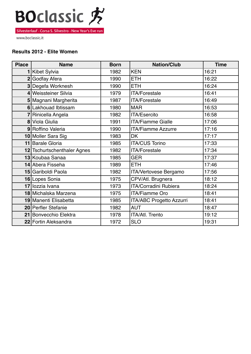

www.boclassic.it

#### **Results 2012 - Elite Women**

| <b>Place</b> | <b>Name</b>                 | <b>Born</b> | <b>Nation/Club</b>              | <b>Time</b> |
|--------------|-----------------------------|-------------|---------------------------------|-------------|
| 1            | Kibet Sylvia                | 1982        | <b>KEN</b>                      | 16:21       |
|              | 2 Godfay Afera              | 1990        | <b>ETH</b>                      | 16:22       |
|              | 3 Degefa Worknesh           | 1990        | <b>ETH</b>                      | 16:24       |
|              | 4 Weissteiner Silvia        | 1979        | <b>ITA/Forestale</b>            | 16:41       |
|              | 5 Magnani Margherita        | 1987        | <b>ITA/Forestale</b>            | 16:49       |
|              | 6 Lakhouad Ibtissam         | 1980        | <b>MAR</b>                      | 16:53       |
|              | Rinicella Angela            | 1982        | <b>ITA/Esercito</b>             | 16:58       |
|              | 8 Viola Giulia              | 1991        | <b>ITA/Fiamme Gialle</b>        | 17:06       |
|              | 9 Roffino Valeria           | 1990        | <b>ITA/Fiamme Azzurre</b>       | 17:16       |
|              | 10 Moller Sara Sig          | 1983        | <b>DK</b>                       | 17:17       |
|              | 11 Barale Gloria            | 1985        | <b>ITA/CUS Torino</b>           | 17:33       |
|              | 12 Tschurtschenthaler Agnes | 1982        | <b>ITA/Forestale</b>            | 17:34       |
|              | 13 Koubaa Sanaa             | 1985        | <b>GER</b>                      | 17:37       |
|              | 14 Abera Fisseha            | 1989        | <b>ETH</b>                      | 17:46       |
|              | 15 Gariboldi Paola          | 1982        | <b>ITA/Vertovese Bergamo</b>    | 17:56       |
|              | 16 Lopes Sonia              | 1975        | CPV/Atl. Brugnera               | 18:12       |
|              | 17 lozzia Ivana             | 1973        | <b>ITA/Corradini Rubiera</b>    | 18:24       |
|              | 18 Michalska Marzena        | 1975        | <b>ITA/Fiamme Oro</b>           | 18:41       |
|              | 19 Manenti Elisabetta       | 1985        | <b>ITA/ABC Progetto Azzurri</b> | 18:41       |
|              | 20 Perfler Stefanie         | 1982        | <b>AUT</b>                      | 18:47       |
|              | 21 Bonvecchio Elektra       | 1978        | <b>ITA/Atl. Trento</b>          | 19:12       |
|              | 22 Fortin Aleksandra        | 1972        | <b>SLO</b>                      | 19:31       |